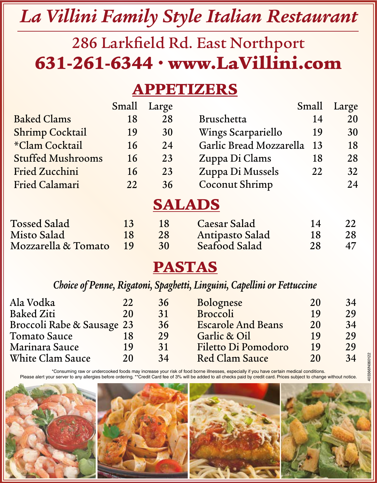# *La Villini Family Style Italian Restaurant*

### 286 Larkfield Rd. East Northport 631-261-6344 • www.LaVillini.com

### APPETIZERS

|                            | Small | Large         |                                                                         | Small | Large |
|----------------------------|-------|---------------|-------------------------------------------------------------------------|-------|-------|
| <b>Baked Clams</b>         | 18    | 28            | <b>Bruschetta</b>                                                       | 14    | 20    |
| <b>Shrimp Cocktail</b>     | 19    | 30            | Wings Scarpariello                                                      | 19    | 30    |
| *Clam Cocktail             | 16    | 24            | Garlic Bread Mozzarella                                                 | 13    | 18    |
| <b>Stuffed Mushrooms</b>   | 16    | 23            | Zuppa Di Clams                                                          | 18    | 28    |
| <b>Fried Zucchini</b>      | 16    | 23            | Zuppa Di Mussels                                                        | 22    | 32    |
| <b>Fried Calamari</b>      | 22    | 36            | <b>Coconut Shrimp</b>                                                   |       | 24    |
|                            |       | SALAD         |                                                                         |       |       |
| <b>Tossed Salad</b>        | 13    | 18            | Caesar Salad                                                            | 14    | 22    |
| Misto Salad                | 18    | 28            | Antipasto Salad                                                         | 18    | 28    |
| Mozzarella & Tomato        | 19    | 30            | Seafood Salad                                                           | 28    | 47    |
|                            |       | <b>PASTAS</b> |                                                                         |       |       |
|                            |       |               | Choice of Penne, Rigatoni, Spaghetti, Linguini, Capellini or Fettuccine |       |       |
| Ala Vodka                  | 22    | 36            | Bolognese                                                               | 20    | 34    |
| Baked Ziti                 | 20    | 31            | Broccoli                                                                | 19    | 29    |
| Broccoli Rabe & Sausage 23 |       | 36            | <b>Escarole And Beans</b>                                               | 20    | 34    |
| Tomato Sauce               | 18    | 29            | Garlic & Oil                                                            | 19    | 29    |
| Marinara Sauce             | 19    | 31            | Filetto Di Pomodoro                                                     | 19    | 29    |
| White Clam Sauce           | 20    | 34            | <b>Red Clam Sauce</b>                                                   | 20    | 34    |

\*Consuming raw or undercooked foods may increase your risk of food borne illnesses, especially if you have certain medical conditions. Please alert your server to any allergies before ordering. \*\*Credit Card fee of 3% will be added to all checks paid by credit card. Prices subject to change without notice.